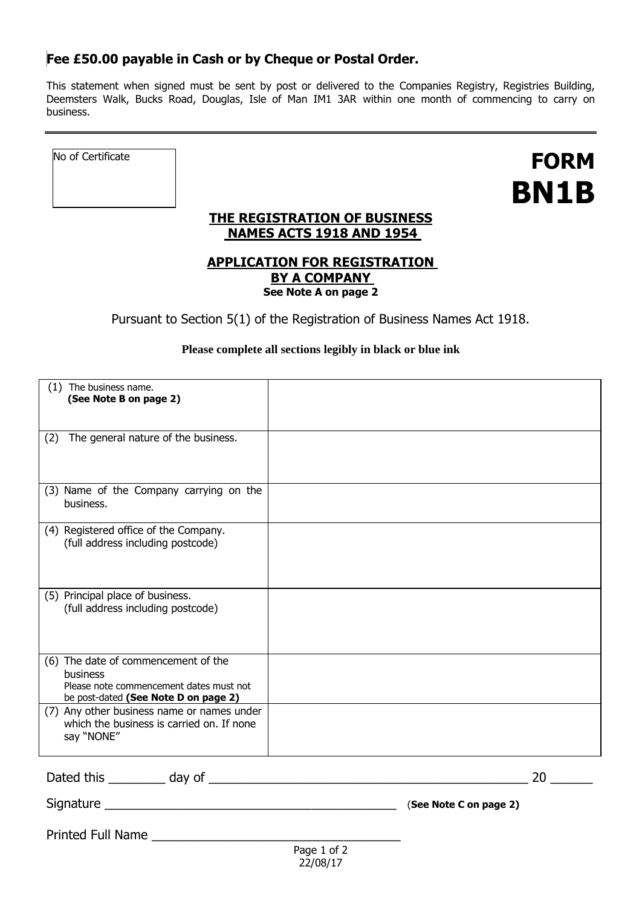## **Fee £50.00 payable in Cash or by Cheque or Postal Order.**

 $\equiv$ 

This statement when signed must be sent by post or delivered to the Companies Registry, Registries Building, Deemsters Walk, Bucks Road, Douglas, Isle of Man IM1 3AR within one month of commencing to carry on business.

| No of Certificate |                                                                                    | <b>FORM</b><br>BN1B |
|-------------------|------------------------------------------------------------------------------------|---------------------|
|                   | THE REGISTRATION OF BUSINESS<br><b>NAMES ACTS 1918 AND 1954</b>                    |                     |
|                   | <b>APPLICATION FOR REGISTRATION</b><br><b>BY A COMPANY</b><br>See Note A on page 2 |                     |
|                   | Pursuant to Section 5(1) of the Registration of Business Names Act 1918.           |                     |
|                   | Please complete all sections legibly in black or blue ink                          |                     |

| (1) The business name.<br>(See Note B on page 2)                                                                                   |                        |    |
|------------------------------------------------------------------------------------------------------------------------------------|------------------------|----|
| The general nature of the business.<br>(2)                                                                                         |                        |    |
| (3) Name of the Company carrying on the<br>business.                                                                               |                        |    |
| (4) Registered office of the Company.<br>(full address including postcode)                                                         |                        |    |
| (5) Principal place of business.<br>(full address including postcode)                                                              |                        |    |
| (6) The date of commencement of the<br>business<br>Please note commencement dates must not<br>be post-dated (See Note D on page 2) |                        |    |
| (7) Any other business name or names under<br>which the business is carried on. If none<br>say "NONE"                              |                        |    |
|                                                                                                                                    |                        | 20 |
|                                                                                                                                    | (See Note C on page 2) |    |
| Printed Full Name                                                                                                                  | $P$ ane 1 of 2         |    |